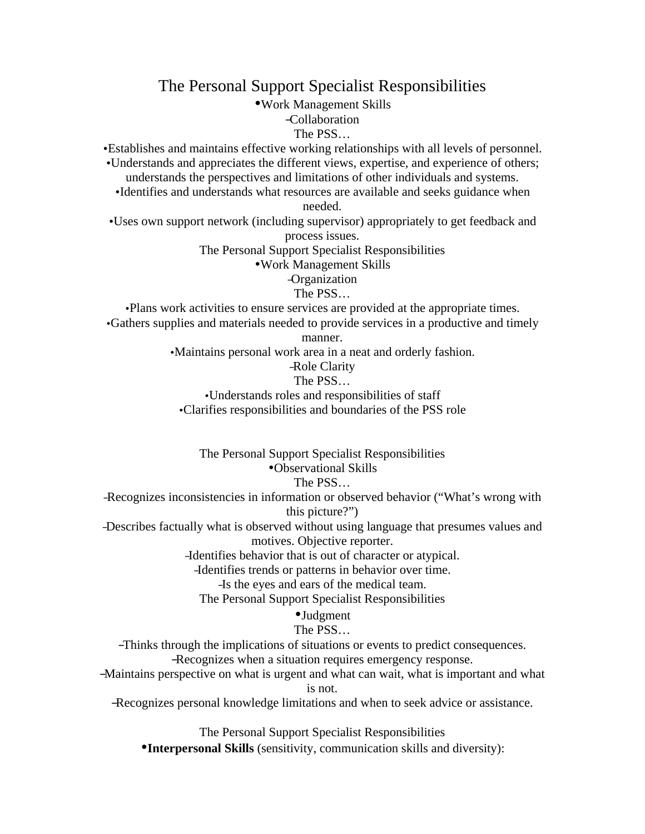The Personal Support Specialist Responsibilities

•Work Management Skills

–Collaboration

The PSS…

•Establishes and maintains effective working relationships with all levels of personnel. •Understands and appreciates the different views, expertise, and experience of others;

understands the perspectives and limitations of other individuals and systems.

•Identifies and understands what resources are available and seeks guidance when needed.

•Uses own support network (including supervisor) appropriately to get feedback and process issues.

The Personal Support Specialist Responsibilities

•Work Management Skills

–Organization

The PSS…

•Plans work activities to ensure services are provided at the appropriate times. •Gathers supplies and materials needed to provide services in a productive and timely

manner.

•Maintains personal work area in a neat and orderly fashion.

#### –Role Clarity

#### The PSS…

•Understands roles and responsibilities of staff •Clarifies responsibilities and boundaries of the PSS role

The Personal Support Specialist Responsibilities •Observational Skills

The PSS…

–Recognizes inconsistencies in information or observed behavior ("What's wrong with this picture?")

–Describes factually what is observed without using language that presumes values and motives. Objective reporter.

–Identifies behavior that is out of character or atypical.

–Identifies trends or patterns in behavior over time.

–Is the eyes and ears of the medical team.

The Personal Support Specialist Responsibilities

# •Judgment

# The PSS…

–Thinks through the implications of situations or events to predict consequences.

–Recognizes when a situation requires emergency response.

–Maintains perspective on what is urgent and what can wait, what is important and what is not.

–Recognizes personal knowledge limitations and when to seek advice or assistance.

The Personal Support Specialist Responsibilities

•**Interpersonal Skills** (sensitivity, communication skills and diversity):